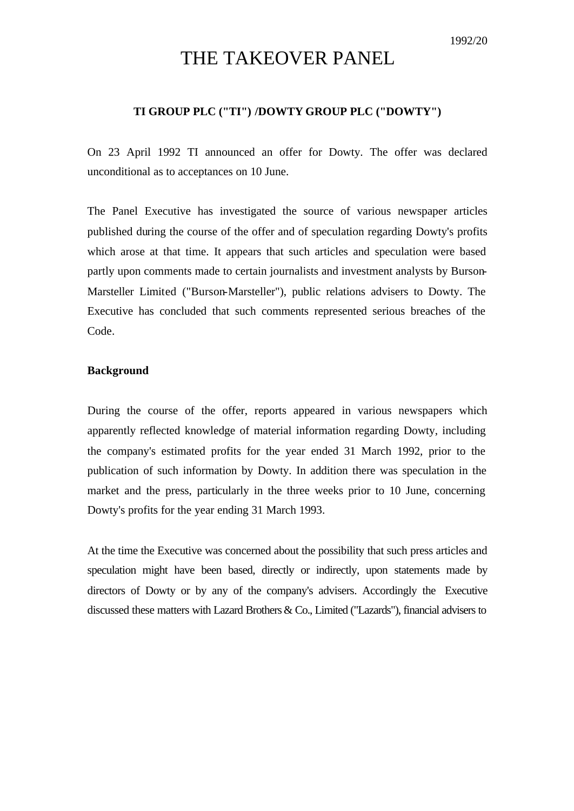# THE TAKEOVER PANEL

# **TI GROUP PLC ("TI") /DOWTY GROUP PLC ("DOWTY")**

On 23 April 1992 TI announced an offer for Dowty. The offer was declared unconditional as to acceptances on 10 June.

The Panel Executive has investigated the source of various newspaper articles published during the course of the offer and of speculation regarding Dowty's profits which arose at that time. It appears that such articles and speculation were based partly upon comments made to certain journalists and investment analysts by Burson-Marsteller Limited ("Burson-Marsteller"), public relations advisers to Dowty. The Executive has concluded that such comments represented serious breaches of the Code.

# **Background**

During the course of the offer, reports appeared in various newspapers which apparently reflected knowledge of material information regarding Dowty, including the company's estimated profits for the year ended 31 March 1992, prior to the publication of such information by Dowty. In addition there was speculation in the market and the press, particularly in the three weeks prior to 10 June, concerning Dowty's profits for the year ending 31 March 1993.

At the time the Executive was concerned about the possibility that such press articles and speculation might have been based, directly or indirectly, upon statements made by directors of Dowty or by any of the company's advisers. Accordingly the Executive discussed these matters with Lazard Brothers & Co., Limited ("Lazards"), financial advisers to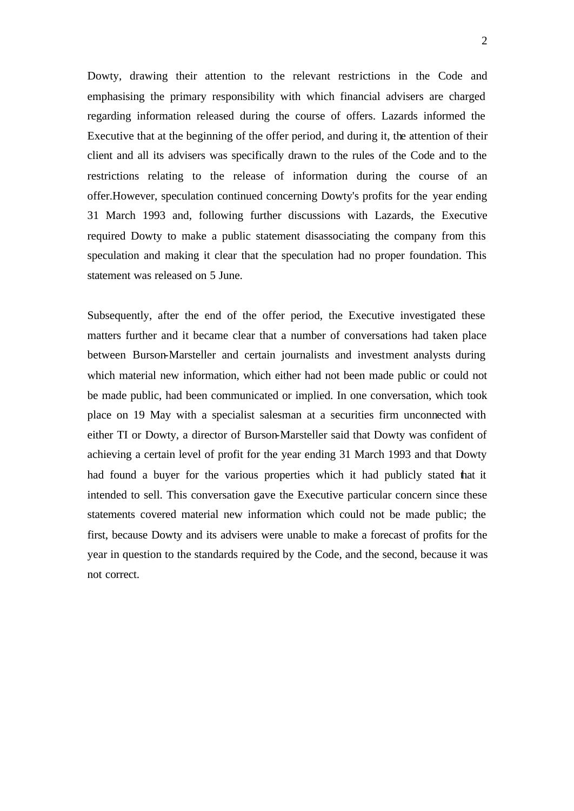Dowty, drawing their attention to the relevant restrictions in the Code and emphasising the primary responsibility with which financial advisers are charged regarding information released during the course of offers. Lazards informed the Executive that at the beginning of the offer period, and during it, the attention of their client and all its advisers was specifically drawn to the rules of the Code and to the restrictions relating to the release of information during the course of an offer.However, speculation continued concerning Dowty's profits for the year ending 31 March 1993 and, following further discussions with Lazards, the Executive required Dowty to make a public statement disassociating the company from this speculation and making it clear that the speculation had no proper foundation. This statement was released on 5 June.

Subsequently, after the end of the offer period, the Executive investigated these matters further and it became clear that a number of conversations had taken place between Burson-Marsteller and certain journalists and investment analysts during which material new information, which either had not been made public or could not be made public, had been communicated or implied. In one conversation, which took place on 19 May with a specialist salesman at a securities firm unconnected with either TI or Dowty, a director of Burson-Marsteller said that Dowty was confident of achieving a certain level of profit for the year ending 31 March 1993 and that Dowty had found a buyer for the various properties which it had publicly stated that it intended to sell. This conversation gave the Executive particular concern since these statements covered material new information which could not be made public; the first, because Dowty and its advisers were unable to make a forecast of profits for the year in question to the standards required by the Code, and the second, because it was not correct.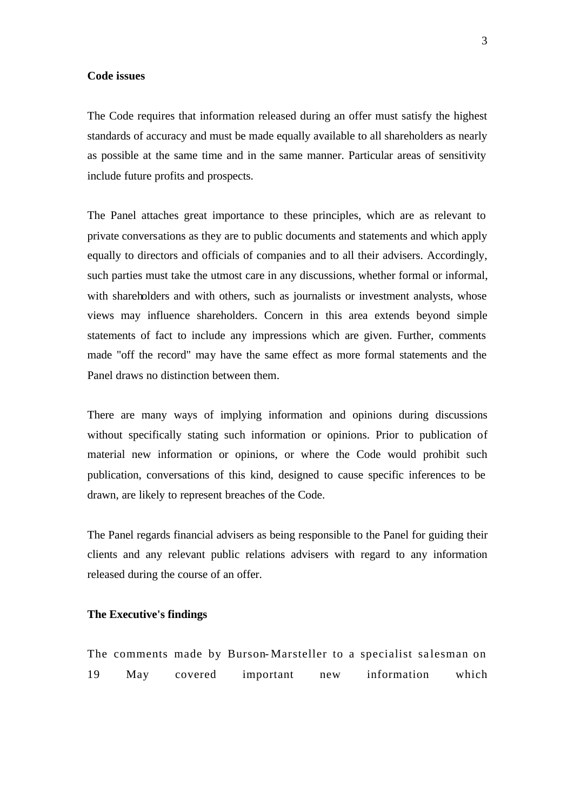#### **Code issues**

The Code requires that information released during an offer must satisfy the highest standards of accuracy and must be made equally available to all shareholders as nearly as possible at the same time and in the same manner. Particular areas of sensitivity include future profits and prospects.

The Panel attaches great importance to these principles, which are as relevant to private conversations as they are to public documents and statements and which apply equally to directors and officials of companies and to all their advisers. Accordingly, such parties must take the utmost care in any discussions, whether formal or informal, with shareholders and with others, such as journalists or investment analysts, whose views may influence shareholders. Concern in this area extends beyond simple statements of fact to include any impressions which are given. Further, comments made "off the record" may have the same effect as more formal statements and the Panel draws no distinction between them.

There are many ways of implying information and opinions during discussions without specifically stating such information or opinions. Prior to publication of material new information or opinions, or where the Code would prohibit such publication, conversations of this kind, designed to cause specific inferences to be drawn, are likely to represent breaches of the Code.

The Panel regards financial advisers as being responsible to the Panel for guiding their clients and any relevant public relations advisers with regard to any information released during the course of an offer.

## **The Executive's findings**

The comments made by Burson-Marsteller to a specialist salesman on 19 May covered important new information which